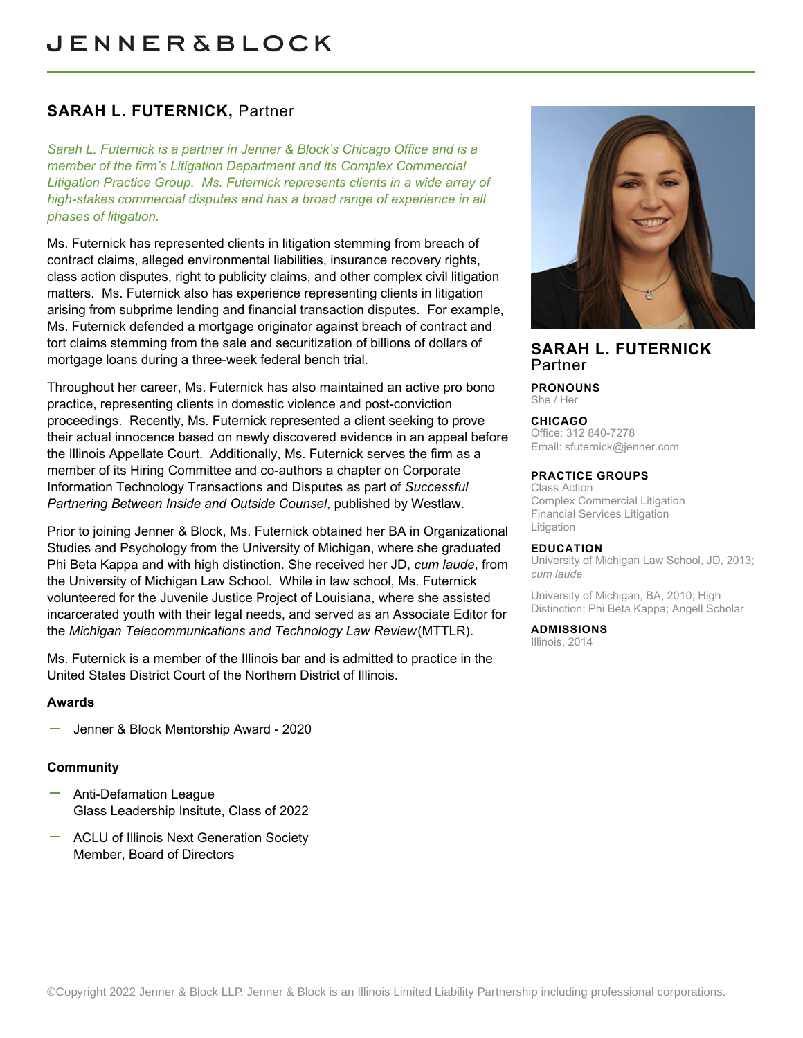# **SARAH L. FUTERNICK,** Partner

*Sarah L. Futernick is a partner in Jenner & Block's Chicago Office and is a member of the firm's Litigation Department and its Complex Commercial Litigation Practice Group. Ms. Futernick represents clients in a wide array of high-stakes commercial disputes and has a broad range of experience in all phases of litigation.* 

Ms. Futernick has represented clients in litigation stemming from breach of contract claims, alleged environmental liabilities, insurance recovery rights, class action disputes, right to publicity claims, and other complex civil litigation matters. Ms. Futernick also has experience representing clients in litigation arising from subprime lending and financial transaction disputes. For example, Ms. Futernick defended a mortgage originator against breach of contract and tort claims stemming from the sale and securitization of billions of dollars of mortgage loans during a three-week federal bench trial.

Throughout her career, Ms. Futernick has also maintained an active pro bono practice, representing clients in domestic violence and post-conviction proceedings. Recently, Ms. Futernick represented a client seeking to prove their actual innocence based on newly discovered evidence in an appeal before the Illinois Appellate Court. Additionally, Ms. Futernick serves the firm as a member of its Hiring Committee and co-authors a chapter on Corporate Information Technology Transactions and Disputes as part of *Successful Partnering Between Inside and Outside Counsel*, published by Westlaw.

Prior to joining Jenner & Block, Ms. Futernick obtained her BA in Organizational Studies and Psychology from the University of Michigan, where she graduated Phi Beta Kappa and with high distinction. She received her JD, *cum laude*, from the University of Michigan Law School. While in law school, Ms. Futernick volunteered for the Juvenile Justice Project of Louisiana, where she assisted incarcerated youth with their legal needs, and served as an Associate Editor for the *Michigan Telecommunications and Technology Law Review* (MTTLR).

Ms. Futernick is a member of the Illinois bar and is admitted to practice in the United States District Court of the Northern District of Illinois.

#### **Awards**

Jenner & Block Mentorship Award - 2020

### **Community**

- Anti-Defamation League Glass Leadership Insitute, Class of 2022
- ACLU of Illinois Next Generation Society Member, Board of Directors



## **SARAH L. FUTERNICK** Partner

**PRONOUNS** She / Her

#### **CHICAGO**

Office: 312 840-7278 Email: [sfuternick@jenner.com](mailto:sfuternick@jenner.com)

#### **PRACTICE GROUPS**

Class Action Complex Commercial Litigation Financial Services Litigation Litigation

#### **EDUCATION**

University of Michigan Law School, JD, 2013; *cum laude*

University of Michigan, BA, 2010; High Distinction; Phi Beta Kappa; Angell Scholar

# **ADMISSIONS**

Illinois, 2014